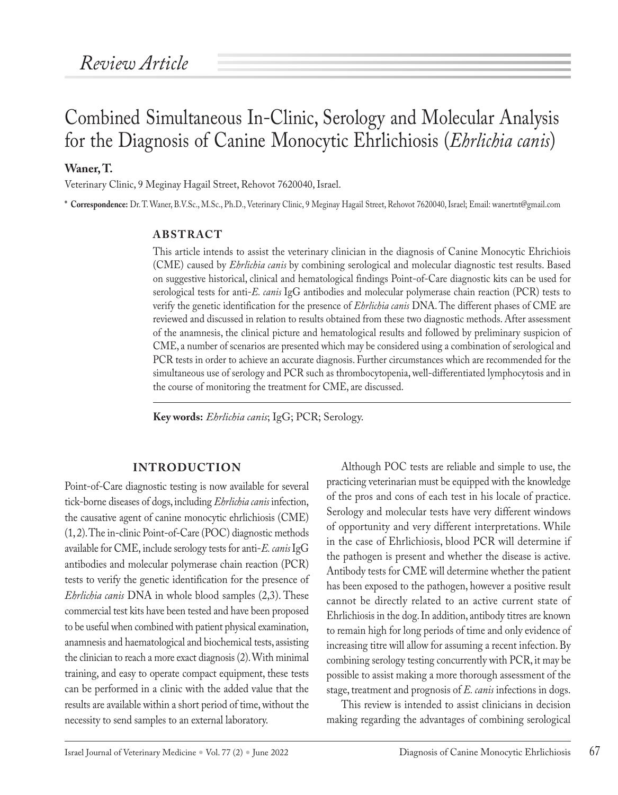# Combined Simultaneous In-Clinic, Serology and Molecular Analysis for the Diagnosis of Canine Monocytic Ehrlichiosis (*Ehrlichia canis*)

### **Waner, T.**

Veterinary Clinic, 9 Meginay Hagail Street, Rehovot 7620040, Israel.

**\* Correspondence:** Dr. T. Waner, B.V.Sc., M.Sc., Ph.D., Veterinary Clinic, 9 Meginay Hagail Street, Rehovot 7620040, Israel; Email: wanertnt@gmail.com

#### **ABSTRACT**

This article intends to assist the veterinary clinician in the diagnosis of Canine Monocytic Ehrichiois (CME) caused by *Ehrlichia canis* by combining serological and molecular diagnostic test results. Based on suggestive historical, clinical and hematological findings Point-of-Care diagnostic kits can be used for serological tests for anti-*E. canis* IgG antibodies and molecular polymerase chain reaction (PCR) tests to verify the genetic identification for the presence of *Ehrlichia canis* DNA. The different phases of CME are reviewed and discussed in relation to results obtained from these two diagnostic methods. After assessment of the anamnesis, the clinical picture and hematological results and followed by preliminary suspicion of CME, a number of scenarios are presented which may be considered using a combination of serological and PCR tests in order to achieve an accurate diagnosis. Further circumstances which are recommended for the simultaneous use of serology and PCR such as thrombocytopenia, well-differentiated lymphocytosis and in the course of monitoring the treatment for CME, are discussed.

**Key words:** *Ehrlichia canis*; IgG; PCR; Serology.

#### **INTRODUCTION**

Point-of-Care diagnostic testing is now available for several tick-borne diseases of dogs, including *Ehrlichia canis* infection, the causative agent of canine monocytic ehrlichiosis (CME) (1, 2). The in-clinic Point-of-Care (POC) diagnostic methods available for CME, include serology tests for anti-*E. canis* IgG antibodies and molecular polymerase chain reaction (PCR) tests to verify the genetic identification for the presence of *Ehrlichia canis* DNA in whole blood samples (2,3). These commercial test kits have been tested and have been proposed to be useful when combined with patient physical examination, anamnesis and haematological and biochemical tests, assisting the clinician to reach a more exact diagnosis (2). With minimal training, and easy to operate compact equipment, these tests can be performed in a clinic with the added value that the results are available within a short period of time, without the necessity to send samples to an external laboratory.

Although POC tests are reliable and simple to use, the practicing veterinarian must be equipped with the knowledge of the pros and cons of each test in his locale of practice. Serology and molecular tests have very different windows of opportunity and very different interpretations. While in the case of Ehrlichiosis, blood PCR will determine if the pathogen is present and whether the disease is active. Antibody tests for CME will determine whether the patient has been exposed to the pathogen, however a positive result cannot be directly related to an active current state of Ehrlichiosis in the dog. In addition, antibody titres are known to remain high for long periods of time and only evidence of increasing titre will allow for assuming a recent infection. By combining serology testing concurrently with PCR, it may be possible to assist making a more thorough assessment of the stage, treatment and prognosis of *E. canis* infections in dogs.

This review is intended to assist clinicians in decision making regarding the advantages of combining serological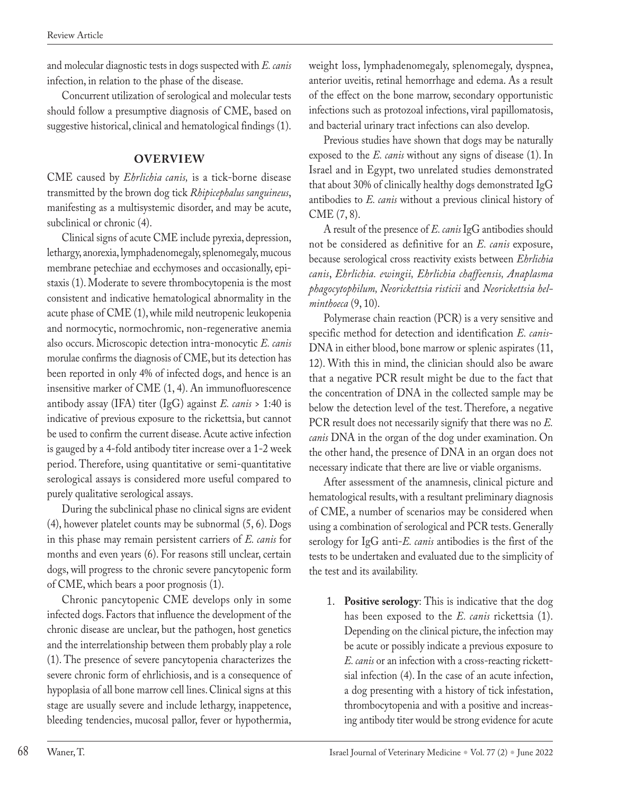and molecular diagnostic tests in dogs suspected with *E. canis* infection, in relation to the phase of the disease.

Concurrent utilization of serological and molecular tests should follow a presumptive diagnosis of CME, based on suggestive historical, clinical and hematological findings (1).

## **OVERVIEW**

CME caused by *Ehrlichia canis,* is a tick-borne disease transmitted by the brown dog tick *Rhipicephalus sanguineus*, manifesting as a multisystemic disorder, and may be acute, subclinical or chronic (4).

Clinical signs of acute CME include pyrexia, depression, lethargy, anorexia, lymphadenomegaly, splenomegaly, mucous membrane petechiae and ecchymoses and occasionally, epistaxis (1). Moderate to severe thrombocytopenia is the most consistent and indicative hematological abnormality in the acute phase of CME (1), while mild neutropenic leukopenia and normocytic, normochromic, non-regenerative anemia also occurs. Microscopic detection intra-monocytic *E. canis* morulae confirms the diagnosis of CME, but its detection has been reported in only 4% of infected dogs, and hence is an insensitive marker of CME (1, 4). An immunofluorescence antibody assay (IFA) titer (IgG) against *E. canis* > 1:40 is indicative of previous exposure to the rickettsia, but cannot be used to confirm the current disease. Acute active infection is gauged by a 4-fold antibody titer increase over a 1-2 week period. Therefore, using quantitative or semi-quantitative serological assays is considered more useful compared to purely qualitative serological assays.

During the subclinical phase no clinical signs are evident (4), however platelet counts may be subnormal (5, 6). Dogs in this phase may remain persistent carriers of *E. canis* for months and even years (6). For reasons still unclear, certain dogs, will progress to the chronic severe pancytopenic form of CME, which bears a poor prognosis (1).

Chronic pancytopenic CME develops only in some infected dogs. Factors that influence the development of the chronic disease are unclear, but the pathogen, host genetics and the interrelationship between them probably play a role (1). The presence of severe pancytopenia characterizes the severe chronic form of ehrlichiosis, and is a consequence of hypoplasia of all bone marrow cell lines. Clinical signs at this stage are usually severe and include lethargy, inappetence, bleeding tendencies, mucosal pallor, fever or hypothermia,

weight loss, lymphadenomegaly, splenomegaly, dyspnea, anterior uveitis, retinal hemorrhage and edema. As a result of the effect on the bone marrow, secondary opportunistic infections such as protozoal infections, viral papillomatosis, and bacterial urinary tract infections can also develop.

Previous studies have shown that dogs may be naturally exposed to the *E. canis* without any signs of disease (1). In Israel and in Egypt, two unrelated studies demonstrated that about 30% of clinically healthy dogs demonstrated IgG antibodies to *E. canis* without a previous clinical history of CME (7, 8).

A result of the presence of *E. canis* IgG antibodies should not be considered as definitive for an *E. canis* exposure, because serological cross reactivity exists between *Ehrlichia canis*, *Ehrlichia. ewingii, Ehrlichia chaffeensis, Anaplasma phagocytophilum, Neorickettsia risticii* and *Neorickettsia helminthoeca* (9, 10).

Polymerase chain reaction (PCR) is a very sensitive and specific method for detection and identification *E. canis*-DNA in either blood, bone marrow or splenic aspirates (11, 12). With this in mind, the clinician should also be aware that a negative PCR result might be due to the fact that the concentration of DNA in the collected sample may be below the detection level of the test. Therefore, a negative PCR result does not necessarily signify that there was no *E. canis* DNA in the organ of the dog under examination. On the other hand, the presence of DNA in an organ does not necessary indicate that there are live or viable organisms.

After assessment of the anamnesis, clinical picture and hematological results, with a resultant preliminary diagnosis of CME, a number of scenarios may be considered when using a combination of serological and PCR tests. Generally serology for IgG anti-*E. canis* antibodies is the first of the tests to be undertaken and evaluated due to the simplicity of the test and its availability.

1. **Positive serology**: This is indicative that the dog has been exposed to the *E. canis* rickettsia (1). Depending on the clinical picture, the infection may be acute or possibly indicate a previous exposure to *E. canis* or an infection with a cross-reacting rickettsial infection (4). In the case of an acute infection, a dog presenting with a history of tick infestation, thrombocytopenia and with a positive and increasing antibody titer would be strong evidence for acute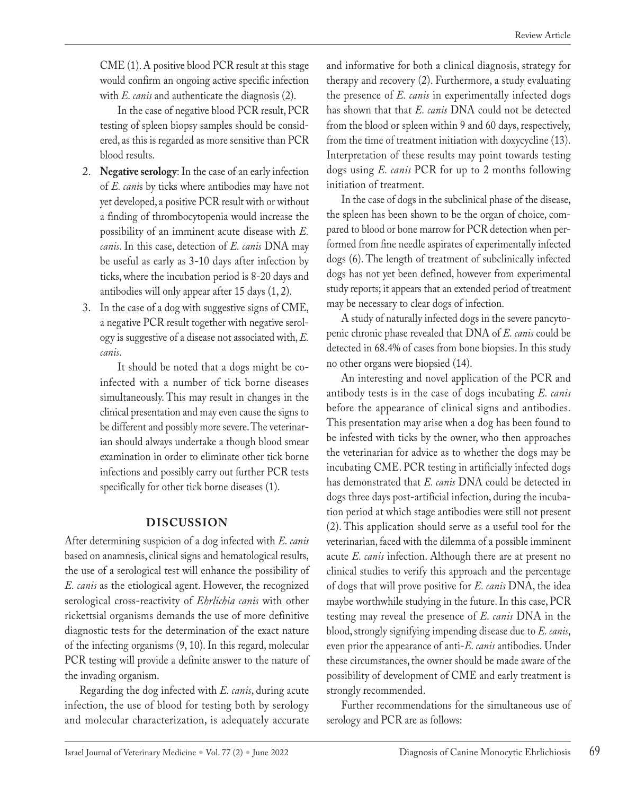CME (1). A positive blood PCR result at this stage would confirm an ongoing active specific infection with *E. canis* and authenticate the diagnosis (2).

 In the case of negative blood PCR result, PCR testing of spleen biopsy samples should be considered, as this is regarded as more sensitive than PCR blood results.

- 2. **Negative serology**: In the case of an early infection of *E. cani*s by ticks where antibodies may have not yet developed, a positive PCR result with or without a finding of thrombocytopenia would increase the possibility of an imminent acute disease with *E. canis*. In this case, detection of *E. canis* DNA may be useful as early as 3-10 days after infection by ticks, where the incubation period is 8-20 days and antibodies will only appear after 15 days (1, 2).
- 3. In the case of a dog with suggestive signs of CME, a negative PCR result together with negative serology is suggestive of a disease not associated with, *E. canis*.

 It should be noted that a dogs might be coinfected with a number of tick borne diseases simultaneously. This may result in changes in the clinical presentation and may even cause the signs to be different and possibly more severe. The veterinarian should always undertake a though blood smear examination in order to eliminate other tick borne infections and possibly carry out further PCR tests specifically for other tick borne diseases (1).

## **DISCUSSION**

After determining suspicion of a dog infected with *E. canis* based on anamnesis, clinical signs and hematological results, the use of a serological test will enhance the possibility of *E. canis* as the etiological agent. However, the recognized serological cross-reactivity of *Ehrlichia canis* with other rickettsial organisms demands the use of more definitive diagnostic tests for the determination of the exact nature of the infecting organisms (9, 10). In this regard, molecular PCR testing will provide a definite answer to the nature of the invading organism.

Regarding the dog infected with *E. canis*, during acute infection, the use of blood for testing both by serology and molecular characterization, is adequately accurate

and informative for both a clinical diagnosis, strategy for therapy and recovery (2). Furthermore, a study evaluating the presence of *E. canis* in experimentally infected dogs has shown that that *E. canis* DNA could not be detected from the blood or spleen within 9 and 60 days, respectively, from the time of treatment initiation with doxycycline (13). Interpretation of these results may point towards testing dogs using *E. canis* PCR for up to 2 months following initiation of treatment.

In the case of dogs in the subclinical phase of the disease, the spleen has been shown to be the organ of choice, compared to blood or bone marrow for PCR detection when performed from fine needle aspirates of experimentally infected dogs (6). The length of treatment of subclinically infected dogs has not yet been defined, however from experimental study reports; it appears that an extended period of treatment may be necessary to clear dogs of infection.

A study of naturally infected dogs in the severe pancytopenic chronic phase revealed that DNA of *E. canis* could be detected in 68.4% of cases from bone biopsies. In this study no other organs were biopsied (14).

An interesting and novel application of the PCR and antibody tests is in the case of dogs incubating *E. canis* before the appearance of clinical signs and antibodies. This presentation may arise when a dog has been found to be infested with ticks by the owner, who then approaches the veterinarian for advice as to whether the dogs may be incubating CME. PCR testing in artificially infected dogs has demonstrated that *E. canis* DNA could be detected in dogs three days post-artificial infection, during the incubation period at which stage antibodies were still not present (2). This application should serve as a useful tool for the veterinarian, faced with the dilemma of a possible imminent acute *E. canis* infection. Although there are at present no clinical studies to verify this approach and the percentage of dogs that will prove positive for *E. canis* DNA, the idea maybe worthwhile studying in the future. In this case, PCR testing may reveal the presence of *E. canis* DNA in the blood, strongly signifying impending disease due to *E. canis*, even prior the appearance of anti-*E. canis* antibodies*.* Under these circumstances, the owner should be made aware of the possibility of development of CME and early treatment is strongly recommended.

Further recommendations for the simultaneous use of serology and PCR are as follows: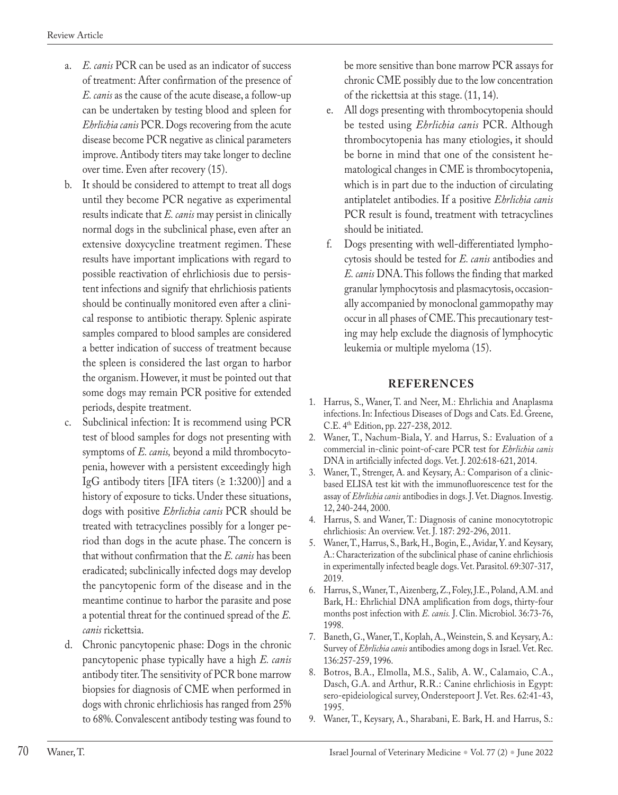- a. *E. canis* PCR can be used as an indicator of success of treatment: After confirmation of the presence of *E. canis* as the cause of the acute disease, a follow-up can be undertaken by testing blood and spleen for *Ehrlichia canis* PCR. Dogs recovering from the acute disease become PCR negative as clinical parameters improve. Antibody titers may take longer to decline over time. Even after recovery (15).
- b. It should be considered to attempt to treat all dogs until they become PCR negative as experimental results indicate that *E. canis* may persist in clinically normal dogs in the subclinical phase, even after an extensive doxycycline treatment regimen. These results have important implications with regard to possible reactivation of ehrlichiosis due to persistent infections and signify that ehrlichiosis patients should be continually monitored even after a clinical response to antibiotic therapy. Splenic aspirate samples compared to blood samples are considered a better indication of success of treatment because the spleen is considered the last organ to harbor the organism. However, it must be pointed out that some dogs may remain PCR positive for extended periods, despite treatment.
- c. Subclinical infection: It is recommend using PCR test of blood samples for dogs not presenting with symptoms of *E. canis,* beyond a mild thrombocytopenia, however with a persistent exceedingly high IgG antibody titers [IFA titers  $(≥ 1:3200)$ ] and a history of exposure to ticks. Under these situations, dogs with positive *Ehrlichia canis* PCR should be treated with tetracyclines possibly for a longer period than dogs in the acute phase. The concern is that without confirmation that the *E. canis* has been eradicated; subclinically infected dogs may develop the pancytopenic form of the disease and in the meantime continue to harbor the parasite and pose a potential threat for the continued spread of the *E. canis* rickettsia.
- d. Chronic pancytopenic phase: Dogs in the chronic pancytopenic phase typically have a high *E. canis*  antibody titer. The sensitivity of PCR bone marrow biopsies for diagnosis of CME when performed in dogs with chronic ehrlichiosis has ranged from 25% to 68%. Convalescent antibody testing was found to

be more sensitive than bone marrow PCR assays for chronic CME possibly due to the low concentration of the rickettsia at this stage. (11, 14).

- e. All dogs presenting with thrombocytopenia should be tested using *Ehrlichia canis* PCR. Although thrombocytopenia has many etiologies, it should be borne in mind that one of the consistent hematological changes in CME is thrombocytopenia, which is in part due to the induction of circulating antiplatelet antibodies. If a positive *Ehrlichia canis*  PCR result is found, treatment with tetracyclines should be initiated.
- f. Dogs presenting with well-differentiated lymphocytosis should be tested for *E. canis* antibodies and *E. canis* DNA. This follows the finding that marked granular lymphocytosis and plasmacytosis, occasionally accompanied by monoclonal gammopathy may occur in all phases of CME. This precautionary testing may help exclude the diagnosis of lymphocytic leukemia or multiple myeloma (15).

## **REFERENCES**

- 1. Harrus, S., Waner, T. and Neer, M.: Ehrlichia and Anaplasma infections. In: Infectious Diseases of Dogs and Cats. Ed. Greene, C.E. 4th Edition, pp. 227-238, 2012.
- 2. Waner, T., Nachum-Biala, Y. and Harrus, S.: Evaluation of a commercial in-clinic point-of-care PCR test for *Ehrlichia canis* DNA in artificially infected dogs. Vet. J. 202:618-621, 2014.
- 3. Waner, T., Strenger, A. and Keysary, A.: Comparison of a clinicbased ELISA test kit with the immunofluorescence test for the assay of *Ehrlichia canis* antibodies in dogs. J. Vet. Diagnos. Investig. 12, 240-244, 2000.
- 4. Harrus, S. and Waner, T.: Diagnosis of canine monocytotropic ehrlichiosis: An overview. Vet. J. 187: 292-296, 2011.
- 5. Waner, T., Harrus, S., Bark, H., Bogin, E., Avidar, Y. and Keysary, A.: Characterization of the subclinical phase of canine ehrlichiosis in experimentally infected beagle dogs. Vet. Parasitol. 69:307-317, 2019.
- 6. Harrus, S., Waner, T., Aizenberg, Z., Foley, J.E., Poland, A.M. and Bark, H.: Ehrlichial DNA amplification from dogs, thirty-four months post infection with *E. canis.* J. Clin. Microbiol. 36:73-76, 1998.
- 7. Baneth, G., Waner, T., Koplah, A., Weinstein, S. and Keysary, A.: Survey of *Ehrlichia canis* antibodies among dogs in Israel. Vet. Rec. 136:257-259, 1996.
- 8. Botros, B.A., Elmolla, M.S., Salib, A. W., Calamaio, C.A., Dasch, G.A. and Arthur, R.R.: Canine ehrlichiosis in Egypt: sero-epideiological survey, Onderstepoort J. Vet. Res. 62:41-43, 1995.
- 9. Waner, T., Keysary, A., Sharabani, E. Bark, H. and Harrus, S.: